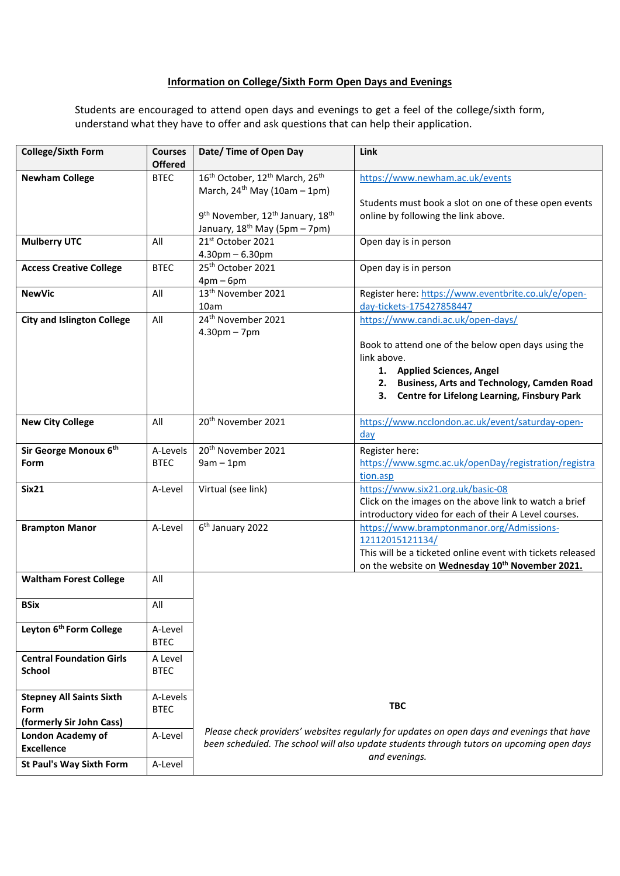## **Information on College/Sixth Form Open Days and Evenings**

Students are encouraged to attend open days and evenings to get a feel of the college/sixth form, understand what they have to offer and ask questions that can help their application.

| <b>College/Sixth Form</b>           | <b>Courses</b><br><b>Offered</b> | Date/ Time of Open Day                                                                     | <b>Link</b>                                                                                                     |  |
|-------------------------------------|----------------------------------|--------------------------------------------------------------------------------------------|-----------------------------------------------------------------------------------------------------------------|--|
| <b>Newham College</b>               | <b>BTEC</b>                      | 16 <sup>th</sup> October, 12 <sup>th</sup> March, 26 <sup>th</sup>                         | https://www.newham.ac.uk/events                                                                                 |  |
|                                     |                                  | March, $24^{th}$ May (10am - 1pm)                                                          |                                                                                                                 |  |
|                                     |                                  |                                                                                            | Students must book a slot on one of these open events                                                           |  |
|                                     |                                  | 9 <sup>th</sup> November, 12 <sup>th</sup> January, 18 <sup>th</sup>                       | online by following the link above.                                                                             |  |
|                                     |                                  | January, 18 <sup>th</sup> May (5pm – 7pm)                                                  |                                                                                                                 |  |
| <b>Mulberry UTC</b>                 | All                              | 21 <sup>st</sup> October 2021                                                              | Open day is in person                                                                                           |  |
|                                     |                                  | $4.30$ pm $- 6.30$ pm<br>25 <sup>th</sup> October 2021                                     |                                                                                                                 |  |
| <b>Access Creative College</b>      | <b>BTEC</b>                      | $4pm-6pm$                                                                                  | Open day is in person                                                                                           |  |
| <b>NewVic</b>                       | All                              | 13 <sup>th</sup> November 2021                                                             | Register here: https://www.eventbrite.co.uk/e/open-                                                             |  |
|                                     |                                  | 10am                                                                                       | day-tickets-175427858447                                                                                        |  |
| <b>City and Islington College</b>   | All                              | 24 <sup>th</sup> November 2021                                                             | https://www.candi.ac.uk/open-days/                                                                              |  |
|                                     |                                  | $4.30pm - 7pm$                                                                             |                                                                                                                 |  |
|                                     |                                  |                                                                                            | Book to attend one of the below open days using the                                                             |  |
|                                     |                                  |                                                                                            | link above.                                                                                                     |  |
|                                     |                                  |                                                                                            | 1. Applied Sciences, Angel                                                                                      |  |
|                                     |                                  |                                                                                            | 2. Business, Arts and Technology, Camden Road                                                                   |  |
|                                     |                                  |                                                                                            | 3. Centre for Lifelong Learning, Finsbury Park                                                                  |  |
|                                     |                                  |                                                                                            |                                                                                                                 |  |
| <b>New City College</b>             | All                              | 20 <sup>th</sup> November 2021                                                             | https://www.ncclondon.ac.uk/event/saturday-open-                                                                |  |
|                                     |                                  |                                                                                            | day                                                                                                             |  |
| Sir George Monoux 6th               | A-Levels                         | 20 <sup>th</sup> November 2021                                                             | Register here:                                                                                                  |  |
| Form                                | <b>BTEC</b>                      | $9am - 1pm$                                                                                | https://www.sgmc.ac.uk/openDay/registration/registra                                                            |  |
|                                     |                                  |                                                                                            | tion.asp                                                                                                        |  |
| Six21                               | A-Level                          | Virtual (see link)                                                                         | https://www.six21.org.uk/basic-08                                                                               |  |
|                                     |                                  |                                                                                            | Click on the images on the above link to watch a brief<br>introductory video for each of their A Level courses. |  |
| <b>Brampton Manor</b>               | A-Level                          | 6 <sup>th</sup> January 2022                                                               | https://www.bramptonmanor.org/Admissions-                                                                       |  |
|                                     |                                  |                                                                                            | 12112015121134/                                                                                                 |  |
|                                     |                                  |                                                                                            | This will be a ticketed online event with tickets released                                                      |  |
|                                     |                                  |                                                                                            | on the website on Wednesday 10 <sup>th</sup> November 2021.                                                     |  |
| <b>Waltham Forest College</b>       | All                              |                                                                                            |                                                                                                                 |  |
| <b>BSix</b>                         | All                              |                                                                                            |                                                                                                                 |  |
| Leyton 6 <sup>th</sup> Form College | A-Level                          |                                                                                            |                                                                                                                 |  |
|                                     | <b>BTEC</b>                      |                                                                                            |                                                                                                                 |  |
| <b>Central Foundation Girls</b>     | A Level                          |                                                                                            |                                                                                                                 |  |
| <b>School</b>                       | <b>BTEC</b>                      |                                                                                            |                                                                                                                 |  |
|                                     |                                  |                                                                                            |                                                                                                                 |  |
| <b>Stepney All Saints Sixth</b>     | A-Levels                         |                                                                                            |                                                                                                                 |  |
| Form                                | <b>BTEC</b>                      |                                                                                            | <b>TBC</b>                                                                                                      |  |
| (formerly Sir John Cass)            |                                  |                                                                                            |                                                                                                                 |  |
| <b>London Academy of</b>            | A-Level                          | Please check providers' websites regularly for updates on open days and evenings that have |                                                                                                                 |  |
| <b>Excellence</b>                   |                                  |                                                                                            | been scheduled. The school will also update students through tutors on upcoming open days                       |  |
| <b>St Paul's Way Sixth Form</b>     | A-Level                          |                                                                                            | and evenings.                                                                                                   |  |